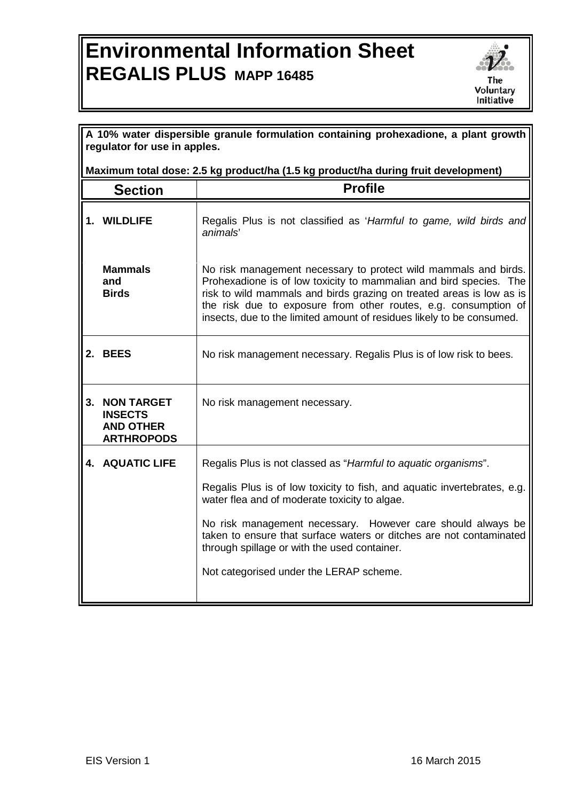## **Environmental Information Sheet REGALIS PLUS MAPP 16485**



|                                                                                    | A 10% water dispersible granule formulation containing prohexadione, a plant growth<br>regulator for use in apples. |                                                                                                                                                                                                                                                                                                                                                           |  |
|------------------------------------------------------------------------------------|---------------------------------------------------------------------------------------------------------------------|-----------------------------------------------------------------------------------------------------------------------------------------------------------------------------------------------------------------------------------------------------------------------------------------------------------------------------------------------------------|--|
| Maximum total dose: 2.5 kg product/ha (1.5 kg product/ha during fruit development) |                                                                                                                     |                                                                                                                                                                                                                                                                                                                                                           |  |
|                                                                                    | <b>Section</b>                                                                                                      | <b>Profile</b>                                                                                                                                                                                                                                                                                                                                            |  |
|                                                                                    | 1. WILDLIFE                                                                                                         | Regalis Plus is not classified as 'Harmful to game, wild birds and<br>animals'                                                                                                                                                                                                                                                                            |  |
|                                                                                    | <b>Mammals</b><br>and<br><b>Birds</b>                                                                               | No risk management necessary to protect wild mammals and birds.<br>Prohexadione is of low toxicity to mammalian and bird species. The<br>risk to wild mammals and birds grazing on treated areas is low as is<br>the risk due to exposure from other routes, e.g. consumption of<br>insects, due to the limited amount of residues likely to be consumed. |  |
|                                                                                    | 2. BEES                                                                                                             | No risk management necessary. Regalis Plus is of low risk to bees.                                                                                                                                                                                                                                                                                        |  |
| 3.                                                                                 | <b>NON TARGET</b><br><b>INSECTS</b><br><b>AND OTHER</b><br><b>ARTHROPODS</b>                                        | No risk management necessary.                                                                                                                                                                                                                                                                                                                             |  |
|                                                                                    | <b>4. AQUATIC LIFE</b>                                                                                              | Regalis Plus is not classed as "Harmful to aquatic organisms".                                                                                                                                                                                                                                                                                            |  |
|                                                                                    |                                                                                                                     | Regalis Plus is of low toxicity to fish, and aquatic invertebrates, e.g.<br>water flea and of moderate toxicity to algae.                                                                                                                                                                                                                                 |  |
|                                                                                    |                                                                                                                     | No risk management necessary. However care should always be<br>taken to ensure that surface waters or ditches are not contaminated<br>through spillage or with the used container.                                                                                                                                                                        |  |
|                                                                                    |                                                                                                                     | Not categorised under the LERAP scheme.                                                                                                                                                                                                                                                                                                                   |  |